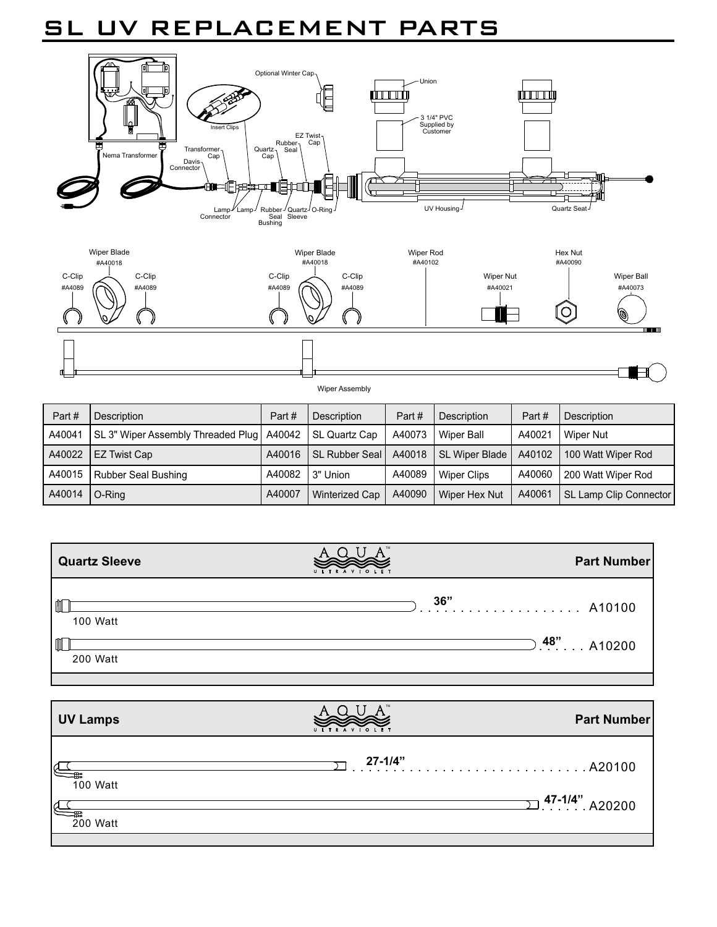## SL UV REPLACEMENT PARTS



H Wiper Assembly Part # | Description Part # | Description Part # | Description Part # Description  $A40044$   $\overline{S}$  3" Wiper Assembly Threaded Plug  $\sqrt{40042}$  SL Quartz C  $A40072$  Mines Ball  $A40024$  Miner Nut  $\mathbf{I}$ 

|                 | A40041 SL 3" Wiper Assembly Threaded Plug   A40042   SL Quartz Cap   A40073   Wiper Ball |        |                         |          |               | A40021 I WIDELNUI                                                      |
|-----------------|------------------------------------------------------------------------------------------|--------|-------------------------|----------|---------------|------------------------------------------------------------------------|
|                 | A40022 EZ Twist Cap                                                                      | A40016 |                         |          |               | SL Rubber Seal   A40018   SL Wiper Blade   A40102   100 Watt Wiper Rod |
|                 | A40015 Rubber Seal Bushing                                                               |        | A40082 13" Union        | A40089 l | Wiper Clips   | A40060 200 Watt Wiper Rod                                              |
| A40014   O-Ring |                                                                                          | A40007 | Winterized Cap   A40090 |          | Wiper Hex Nut | A40061   SL Lamp Clip Connector                                        |

| <b>Quartz Sleeve</b>    | ULTRAVIOLET | <b>Part Number</b>       |
|-------------------------|-------------|--------------------------|
| Щ<br>100 Watt           | 36"         | A10100<br><del>. .</del> |
| $\mathbb I$<br>200 Watt |             | $9.48"$ A10200           |

| <b>UV Lamps</b>           | <b>TRAVIOLET</b><br>$U$ $V$ | <b>Part Number</b>     |
|---------------------------|-----------------------------|------------------------|
|                           | 27-1/4"                     |                        |
| 100 Watt<br>Λ<br>200 Watt |                             | $\sum$ 47-1/4". A20200 |
|                           |                             |                        |